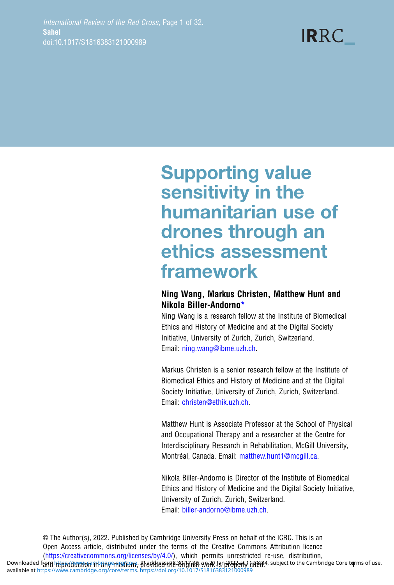

# Supporting value sensitivity in the humanitarian use of drones through an ethics assessment framework

## Ning Wang, Markus Christen, Matthew Hunt and Nikola Biller-Andorno\*

Ning Wang is a research fellow at the Institute of Biomedical Ethics and History of Medicine and at the Digital Society Initiative, University of Zurich, Zurich, Switzerland. Email: [ning.wang@ibme.uzh.ch](mailto:ning.wang@ibme.uzh.ch).

Markus Christen is a senior research fellow at the Institute of Biomedical Ethics and History of Medicine and at the Digital Society Initiative, University of Zurich, Zurich, Switzerland. Email: [christen@ethik.uzh.ch](mailto:christen@ethik.uzh.ch).

Matthew Hunt is Associate Professor at the School of Physical and Occupational Therapy and a researcher at the Centre for Interdisciplinary Research in Rehabilitation, McGill University, Montréal, Canada. Email: [matthew.hunt1@mcgill.ca.](mailto:matthew.hunt1@mcgill.ca)

Nikola Biller-Andorno is Director of the Institute of Biomedical Ethics and History of Medicine and the Digital Society Initiative, University of Zurich, Zurich, Switzerland. Email: [biller-andorno@ibme.uzh.ch](mailto:biller-�andorno@ibme.uzh.ch).

© The Author(s), 2022. Published by Cambridge University Press on behalf of the ICRC. This is an Open Access article, distributed under the terms of the Creative Commons Attribution licence ([https://creativecommons.org/licenses/by/4.0/\)](https://creativecommons.org/licenses/by/4.0/), which permits unrestricted re-use, distribution,

Downloaded f**and httproduction in any medium, theyldee the Unglish work is providen**y cited. subject to the Cambridge Core terms of use, available at [https://www.cambridge.org/core/terms.](https://www.cambridge.org/core/terms) https://doi.org/10.1017/S18163831210009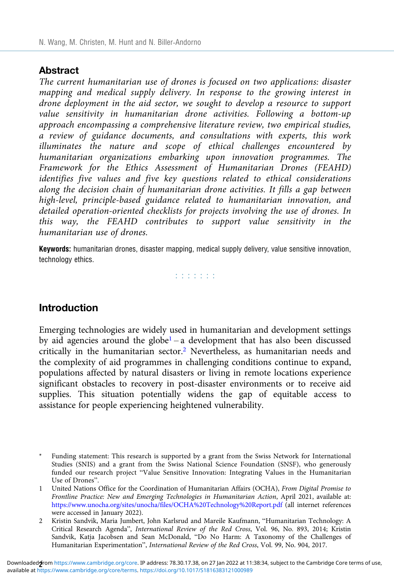## **Abstract**

The current humanitarian use of drones is focused on two applications: disaster mapping and medical supply delivery. In response to the growing interest in drone deployment in the aid sector, we sought to develop a resource to support value sensitivity in humanitarian drone activities. Following a bottom-up approach encompassing a comprehensive literature review, two empirical studies, a review of guidance documents, and consultations with experts, this work illuminates the nature and scope of ethical challenges encountered by humanitarian organizations embarking upon innovation programmes. The Framework for the Ethics Assessment of Humanitarian Drones (FEAHD) identifies five values and five key questions related to ethical considerations along the decision chain of humanitarian drone activities. It fills a gap between high-level, principle-based guidance related to humanitarian innovation, and detailed operation-oriented checklists for projects involving the use of drones. In this way, the FEAHD contributes to support value sensitivity in the humanitarian use of drones.

Keywords: humanitarian drones, disaster mapping, medical supply delivery, value sensitive innovation, technology ethics.

**TERRITE** 

## Introduction

Emerging technologies are widely used in humanitarian and development settings by aid agencies around the globe<sup>1</sup> – a development that has also been discussed critically in the humanitarian sector.2 Nevertheless, as humanitarian needs and the complexity of aid programmes in challenging conditions continue to expand, populations affected by natural disasters or living in remote locations experience significant obstacles to recovery in post-disaster environments or to receive aid supplies. This situation potentially widens the gap of equitable access to assistance for people experiencing heightened vulnerability.

Funding statement: This research is supported by a grant from the Swiss Network for International Studies (SNIS) and a grant from the Swiss National Science Foundation (SNSF), who generously funded our research project "Value Sensitive Innovation: Integrating Values in the Humanitarian Use of Drones".

<sup>1</sup> United Nations Office for the Coordination of Humanitarian Affairs (OCHA), From Digital Promise to Frontline Practice: New and Emerging Technologies in Humanitarian Action, April 2021, available at: <https://www.unocha.org/sites/unocha/files/OCHA%20Technology%20Report.pdf> (all internet references were accessed in January 2022).

<sup>2</sup> Kristin Sandvik, Maria Jumbert, John Karlsrud and Mareile Kaufmann, "Humanitarian Technology: A Critical Research Agenda", International Review of the Red Cross, Vol. 96, No. 893, 2014; Kristin Sandvik, Katja Jacobsen and Sean McDonald, "Do No Harm: A Taxonomy of the Challenges of Humanitarian Experimentation", International Review of the Red Cross, Vol. 99, No. 904, 2017.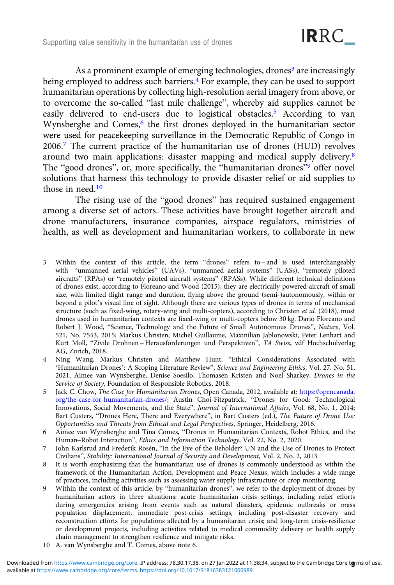As a prominent example of emerging technologies, drones<sup>3</sup> are increasingly being employed to address such barriers.<sup>4</sup> For example, they can be used to support humanitarian operations by collecting high-resolution aerial imagery from above, or to overcome the so-called "last mile challenge", whereby aid supplies cannot be easily delivered to end-users due to logistical obstacles.<sup>5</sup> According to van Wynsberghe and Comes,<sup>6</sup> the first drones deployed in the humanitarian sector were used for peacekeeping surveillance in the Democratic Republic of Congo in 2006.7 The current practice of the humanitarian use of drones (HUD) revolves around two main applications: disaster mapping and medical supply delivery.8 The "good drones", or, more specifically, the "humanitarian drones"<sup>9</sup> offer novel solutions that harness this technology to provide disaster relief or aid supplies to those in need.<sup>10</sup>

The rising use of the "good drones" has required sustained engagement among a diverse set of actors. These activities have brought together aircraft and drone manufacturers, insurance companies, airspace regulators, ministries of health, as well as development and humanitarian workers, to collaborate in new

- 3 Within the context of this article, the term "drones" refers to and is used interchangeably with - "unmanned aerial vehicles" (UAVs), "unmanned aerial systems" (UASs), "remotely piloted aircrafts" (RPAs) or "remotely piloted aircraft systems" (RPASs). While different technical definitions of drones exist, according to Floreano and Wood (2015), they are electrically powered aircraft of small size, with limited flight range and duration, flying above the ground (semi-)autonomously, within or beyond a pilot's visual line of sight. Although there are various types of drones in terms of mechanical structure (such as fixed-wing, rotary-wing and multi-copters), according to Christen et al. (2018), most drones used in humanitarian contexts are fixed-wing or multi-copters below 30 kg. Dario Floreano and Robert J. Wood, "Science, Technology and the Future of Small Autonomous Drones", Nature, Vol. 521, No. 7553, 2015; Markus Christen, Michel Guillaume, Maxinilian Jablonowski, Peter Lenhart and Kurt Moll, "Zivile Drohnen – Herausforderungen und Perspektiven", TA Swiss, vdf Hochschulverlag AG, Zurich, 2018.
- 4 Ning Wang, Markus Christen and Matthew Hunt, "Ethical Considerations Associated with 'Humanitarian Drones': A Scoping Literature Review", Science and Engineering Ethics, Vol. 27. No. 51, 2021; Aimee van Wynsberghe, Denise Soesilo, Thomasen Kristen and Noel Sharkey, Drones in the Service of Society, Foundation of Responsible Robotics, 2018.
- 5 Jack C. Chow, The Case for Humanitarian Drones, Open Canada, 2012, available at: [https://opencanada.](https://opencanada.org/the-case-for-humanitarian-drones/) [org/the-case-for-humanitarian-drones/](https://opencanada.org/the-case-for-humanitarian-drones/); Austin Choi-Fitzpatrick, "Drones for Good: Technological Innovations, Social Movements, and the State", Journal of International Affairs, Vol. 68, No. 1, 2014; Bart Custers, "Drones Here, There and Everywhere", in Bart Custers (ed.), The Future of Drone Use: Opportunities and Threats from Ethical and Legal Perspectives, Springer, Heidelberg, 2016.
- 6 Aimee van Wynsberghe and Tina Comes, "Drones in Humanitarian Contexts, Robot Ethics, and the Human–Robot Interaction", Ethics and Information Technology, Vol. 22, No. 2, 2020.
- 7 John Karlsrud and Frederik Rosén, "In the Eye of the Beholder? UN and the Use of Drones to Protect Civilians", Stability: International Journal of Security and Development, Vol. 2, No. 2, 2013.
- It is worth emphasizing that the humanitarian use of drones is commonly understood as within the framework of the Humanitarian Action, Development and Peace Nexus, which includes a wide range of practices, including activities such as assessing water supply infrastructure or crop monitoring.
- 9 Within the context of this article, by "humanitarian drones", we refer to the deployment of drones by humanitarian actors in three situations: acute humanitarian crisis settings, including relief efforts during emergencies arising from events such as natural disasters, epidemic outbreaks or mass population displacement; immediate post-crisis settings, including post-disaster recovery and reconstruction efforts for populations affected by a humanitarian crisis; and long-term crisis-resilience or development projects, including activities related to medical commodity delivery or health supply chain management to strengthen resilience and mitigate risks.
- 10 A. van Wynsberghe and T. Comes, above note 6.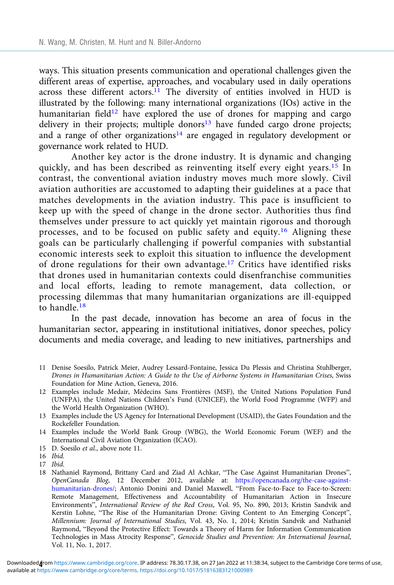ways. This situation presents communication and operational challenges given the different areas of expertise, approaches, and vocabulary used in daily operations across these different actors.<sup>11</sup> The diversity of entities involved in HUD is illustrated by the following: many international organizations (IOs) active in the humanitarian field<sup>12</sup> have explored the use of drones for mapping and cargo delivery in their projects; multiple donors $13$  have funded cargo drone projects; and a range of other organizations<sup>14</sup> are engaged in regulatory development or governance work related to HUD.

Another key actor is the drone industry. It is dynamic and changing quickly, and has been described as reinventing itself every eight years.<sup>15</sup> In contrast, the conventional aviation industry moves much more slowly. Civil aviation authorities are accustomed to adapting their guidelines at a pace that matches developments in the aviation industry. This pace is insufficient to keep up with the speed of change in the drone sector. Authorities thus find themselves under pressure to act quickly yet maintain rigorous and thorough processes, and to be focused on public safety and equity.<sup>16</sup> Aligning these goals can be particularly challenging if powerful companies with substantial economic interests seek to exploit this situation to influence the development of drone regulations for their own advantage.<sup>17</sup> Critics have identified risks that drones used in humanitarian contexts could disenfranchise communities and local efforts, leading to remote management, data collection, or processing dilemmas that many humanitarian organizations are ill-equipped to handle.<sup>18</sup>

In the past decade, innovation has become an area of focus in the humanitarian sector, appearing in institutional initiatives, donor speeches, policy documents and media coverage, and leading to new initiatives, partnerships and

- 11 Denise Soesilo, Patrick Meier, Audrey Lessard-Fontaine, Jessica Du Plessis and Christina Stuhlberger, Drones in Humanitarian Action: A Guide to the Use of Airborne Systems in Humanitarian Crises, Swiss Foundation for Mine Action, Geneva, 2016.
- 12 Examples include Medair, Médecins Sans Frontières (MSF), the United Nations Population Fund (UNFPA), the United Nations Children's Fund (UNICEF), the World Food Programme (WFP) and the World Health Organization (WHO).
- 13 Examples include the US Agency for International Development (USAID), the Gates Foundation and the Rockefeller Foundation.
- 14 Examples include the World Bank Group (WBG), the World Economic Forum (WEF) and the International Civil Aviation Organization (ICAO).
- 15 D. Soesilo et al., above note 11.

- 17 Ibid.
- 18 Nathaniel Raymond, Brittany Card and Ziad Al Achkar, "The Case Against Humanitarian Drones", OpenCanada Blog, 12 December 2012, available at: [https://opencanada.org/the-case-against](https://opencanada.org/the-case-against-humanitarian-drones/)[humanitarian-drones/;](https://opencanada.org/the-case-against-humanitarian-drones/) Antonio Donini and Daniel Maxwell, "From Face-to-Face to Face-to-Screen: Remote Management, Effectiveness and Accountability of Humanitarian Action in Insecure Environments", International Review of the Red Cross, Vol. 95, No. 890, 2013; Kristin Sandvik and Kerstin Lohne, "The Rise of the Humanitarian Drone: Giving Content to An Emerging Concept", Millennium: Journal of International Studies, Vol. 43, No. 1, 2014; Kristin Sandvik and Nathaniel Raymond, "Beyond the Protective Effect: Towards a Theory of Harm for Information Communication Technologies in Mass Atrocity Response", Genocide Studies and Prevention: An International Journal, Vol. 11, No. 1, 2017.

<sup>16</sup> Ibid.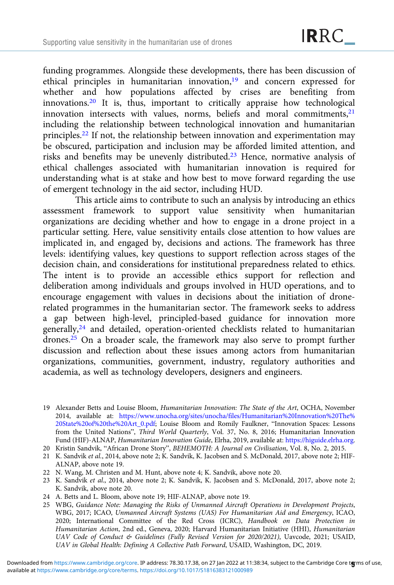funding programmes. Alongside these developments, there has been discussion of ethical principles in humanitarian innovation,<sup>19</sup> and concern expressed for whether and how populations affected by crises are benefiting from innovations.<sup>20</sup> It is, thus, important to critically appraise how technological innovation intersects with values, norms, beliefs and moral commitments,<sup>21</sup> including the relationship between technological innovation and humanitarian principles.22 If not, the relationship between innovation and experimentation may be obscured, participation and inclusion may be afforded limited attention, and risks and benefits may be unevenly distributed.<sup>23</sup> Hence, normative analysis of ethical challenges associated with humanitarian innovation is required for understanding what is at stake and how best to move forward regarding the use of emergent technology in the aid sector, including HUD.

This article aims to contribute to such an analysis by introducing an ethics assessment framework to support value sensitivity when humanitarian organizations are deciding whether and how to engage in a drone project in a particular setting. Here, value sensitivity entails close attention to how values are implicated in, and engaged by, decisions and actions. The framework has three levels: identifying values, key questions to support reflection across stages of the decision chain, and considerations for institutional preparedness related to ethics. The intent is to provide an accessible ethics support for reflection and deliberation among individuals and groups involved in HUD operations, and to encourage engagement with values in decisions about the initiation of dronerelated programmes in the humanitarian sector. The framework seeks to address a gap between high-level, principled-based guidance for innovation more generally,24 and detailed, operation-oriented checklists related to humanitarian drones.25 On a broader scale, the framework may also serve to prompt further discussion and reflection about these issues among actors from humanitarian organizations, communities, government, industry, regulatory authorities and academia, as well as technology developers, designers and engineers.

20 Kristin Sandvik, "African Drone Story", BEHEMOTH: A Journal on Civilisation, Vol. 8, No. 2, 2015.

- 21 K. Sandvik et al., 2014, above note 2; K. Sandvik, K. Jacobsen and S. McDonald, 2017, above note 2; HIF-ALNAP, above note 19.
- 22 N. Wang, M. Christen and M. Hunt, above note 4; K. Sandvik, above note 20.
- 23 K. Sandvik et al., 2014, above note 2; K. Sandvik, K. Jacobsen and S. McDonald, 2017, above note 2; K. Sandvik, above note 20.
- 24 A. Betts and L. Bloom, above note 19; HIF-ALNAP, above note 19.
- 25 WBG, Guidance Note: Managing the Risks of Unmanned Aircraft Operations in Development Projects, WBG, 2017; ICAO, Unmanned Aircraft Systems (UAS) For Humanitarian Aid and Emergency, ICAO, 2020; International Committee of the Red Cross (ICRC), Handbook on Data Protection in Humanitarian Action, 2nd ed., Geneva, 2020; Harvard Humanitarian Initiative (HHI), Humanitarian UAV Code of Conduct & Guidelines (Fully Revised Version for 2020/2021), Uavcode, 2021; USAID, UAV in Global Health: Defining A Collective Path Forward, USAID, Washington, DC, 2019.

<sup>19</sup> Alexander Betts and Louise Bloom, Humanitarian Innovation: The State of the Art, OCHA, November 2014, available at: [https://www.unocha.org/sites/unocha/files/Humanitarian%20Innovation%20The%](https://www.unocha.org/sites/unocha/files/Humanitarian%20Innovation%20The%20State%20of%20the%20Art_0.pdf) [20State%20of%20the%20Art\\_0.pdf](https://www.unocha.org/sites/unocha/files/Humanitarian%20Innovation%20The%20State%20of%20the%20Art_0.pdf); Louise Bloom and Romily Faulkner, "Innovation Spaces: Lessons from the United Nations", Third World Quarterly, Vol. 37, No. 8, 2016; Humanitarian Innovation Fund (HIF)-ALNAP, Humanitarian Innovation Guide, Elrha, 2019, available at: <https://higuide.elrha.org>.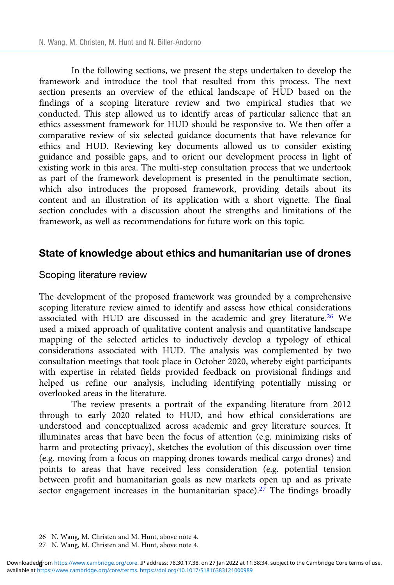In the following sections, we present the steps undertaken to develop the framework and introduce the tool that resulted from this process. The next section presents an overview of the ethical landscape of HUD based on the findings of a scoping literature review and two empirical studies that we conducted. This step allowed us to identify areas of particular salience that an ethics assessment framework for HUD should be responsive to. We then offer a comparative review of six selected guidance documents that have relevance for ethics and HUD. Reviewing key documents allowed us to consider existing guidance and possible gaps, and to orient our development process in light of existing work in this area. The multi-step consultation process that we undertook as part of the framework development is presented in the penultimate section, which also introduces the proposed framework, providing details about its content and an illustration of its application with a short vignette. The final section concludes with a discussion about the strengths and limitations of the framework, as well as recommendations for future work on this topic.

#### State of knowledge about ethics and humanitarian use of drones

#### Scoping literature review

The development of the proposed framework was grounded by a comprehensive scoping literature review aimed to identify and assess how ethical considerations associated with HUD are discussed in the academic and grey literature.26 We used a mixed approach of qualitative content analysis and quantitative landscape mapping of the selected articles to inductively develop a typology of ethical considerations associated with HUD. The analysis was complemented by two consultation meetings that took place in October 2020, whereby eight participants with expertise in related fields provided feedback on provisional findings and helped us refine our analysis, including identifying potentially missing or overlooked areas in the literature.

The review presents a portrait of the expanding literature from 2012 through to early 2020 related to HUD, and how ethical considerations are understood and conceptualized across academic and grey literature sources. It illuminates areas that have been the focus of attention (e.g. minimizing risks of harm and protecting privacy), sketches the evolution of this discussion over time (e.g. moving from a focus on mapping drones towards medical cargo drones) and points to areas that have received less consideration (e.g. potential tension between profit and humanitarian goals as new markets open up and as private sector engagement increases in the humanitarian space).<sup>27</sup> The findings broadly

<sup>26</sup> N. Wang, M. Christen and M. Hunt, above note 4.

<sup>27</sup> N. Wang, M. Christen and M. Hunt, above note 4.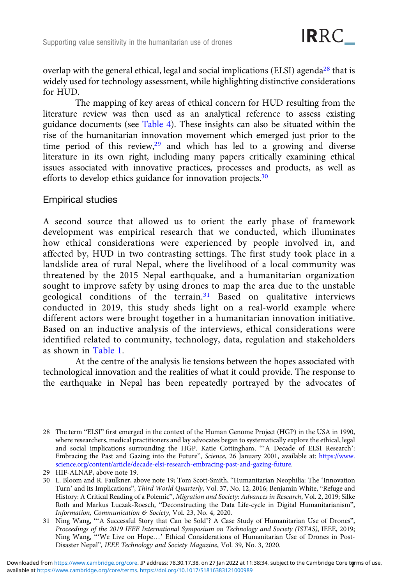overlap with the general ethical, legal and social implications (ELSI) agenda<sup>28</sup> that is widely used for technology assessment, while highlighting distinctive considerations for HUD.

The mapping of key areas of ethical concern for HUD resulting from the literature review was then used as an analytical reference to assess existing guidance documents (see [Table 4](#page-21-0)). These insights can also be situated within the rise of the humanitarian innovation movement which emerged just prior to the time period of this review, $29$  and which has led to a growing and diverse literature in its own right, including many papers critically examining ethical issues associated with innovative practices, processes and products, as well as efforts to develop ethics guidance for innovation projects.<sup>30</sup>

## Empirical studies

A second source that allowed us to orient the early phase of framework development was empirical research that we conducted, which illuminates how ethical considerations were experienced by people involved in, and affected by, HUD in two contrasting settings. The first study took place in a landslide area of rural Nepal, where the livelihood of a local community was threatened by the 2015 Nepal earthquake, and a humanitarian organization sought to improve safety by using drones to map the area due to the unstable geological conditions of the terrain.<sup>31</sup> Based on qualitative interviews conducted in 2019, this study sheds light on a real-world example where different actors were brought together in a humanitarian innovation initiative. Based on an inductive analysis of the interviews, ethical considerations were identified related to community, technology, data, regulation and stakeholders as shown in [Table 1](#page-7-0).

At the centre of the analysis lie tensions between the hopes associated with technological innovation and the realities of what it could provide. The response to the earthquake in Nepal has been repeatedly portrayed by the advocates of

<sup>28</sup> The term "ELSI" first emerged in the context of the Human Genome Project (HGP) in the USA in 1990, where researchers, medical practitioners and lay advocates began to systematically explore the ethical, legal and social implications surrounding the HGP. Katie Cottingham, "'A Decade of ELSI Research': Embracing the Past and Gazing into the Future", Science, 26 January 2001, available at: [https://www.](https://www.science.org/content/article/decade-elsi-research-embracing-past-and-gazing-future) [science.org/content/article/decade-elsi-research-embracing-past-and-gazing-future.](https://www.science.org/content/article/decade-elsi-research-embracing-past-and-gazing-future)

<sup>29</sup> HIF-ALNAP, above note 19.

<sup>30</sup> L. Bloom and R. Faulkner, above note 19; Tom Scott-Smith, "Humanitarian Neophilia: The 'Innovation Turn' and its Implications", Third World Quarterly, Vol. 37, No. 12, 2016; Benjamin White, "Refuge and History: A Critical Reading of a Polemic", Migration and Society: Advances in Research, Vol. 2, 2019; Silke Roth and Markus Luczak-Roesch, "Deconstructing the Data Life-cycle in Digital Humanitarianism", Information, Communication & Society, Vol. 23, No. 4, 2020.

<sup>31</sup> Ning Wang, "'A Successful Story that Can be Sold'? A Case Study of Humanitarian Use of Drones", Proceedings of the 2019 IEEE International Symposium on Technology and Society (ISTAS), IEEE, 2019; Ning Wang, "'We Live on Hope…' Ethical Considerations of Humanitarian Use of Drones in Post-Disaster Nepal", IEEE Technology and Society Magazine, Vol. 39, No. 3, 2020.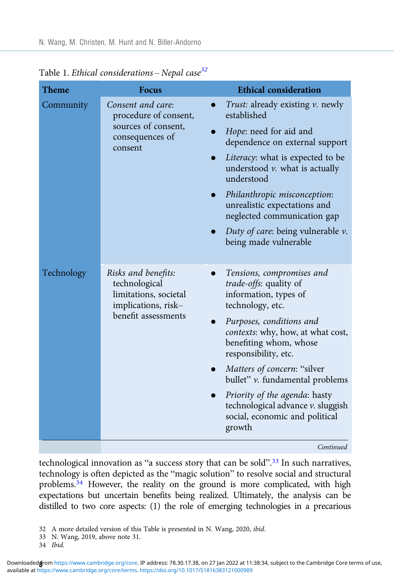| <b>Theme</b> | <b>Focus</b>                                                                                                | <b>Ethical consideration</b>                                                                                                                                                                                                                                                                                                                                                                            |
|--------------|-------------------------------------------------------------------------------------------------------------|---------------------------------------------------------------------------------------------------------------------------------------------------------------------------------------------------------------------------------------------------------------------------------------------------------------------------------------------------------------------------------------------------------|
| Community    | Consent and care:<br>procedure of consent,                                                                  | <i>Trust:</i> already existing <i>v</i> . newly<br>established                                                                                                                                                                                                                                                                                                                                          |
|              | sources of consent,<br>consequences of<br>consent                                                           | Hope: need for aid and<br>dependence on external support                                                                                                                                                                                                                                                                                                                                                |
|              |                                                                                                             | Literacy: what is expected to be<br>understood $\nu$ . what is actually<br>understood                                                                                                                                                                                                                                                                                                                   |
|              |                                                                                                             | Philanthropic misconception:<br>unrealistic expectations and<br>neglected communication gap                                                                                                                                                                                                                                                                                                             |
|              |                                                                                                             | Duty of care: being vulnerable $\nu$ .<br>being made vulnerable                                                                                                                                                                                                                                                                                                                                         |
| Technology   | Risks and benefits:<br>technological<br>limitations, societal<br>implications, risk-<br>benefit assessments | Tensions, compromises and<br>trade-offs: quality of<br>information, types of<br>technology, etc.<br>Purposes, conditions and<br>contexts: why, how, at what cost,<br>benefiting whom, whose<br>responsibility, etc.<br>Matters of concern: "silver<br>bullet" v. fundamental problems<br>Priority of the agenda: hasty<br>technological advance v. sluggish<br>social, economic and political<br>growth |
|              |                                                                                                             | Continued                                                                                                                                                                                                                                                                                                                                                                                               |

<span id="page-7-0"></span>Table 1. Ethical considerations - Nepal case<sup>32</sup>

technological innovation as "a success story that can be sold".<sup>33</sup> In such narratives, technology is often depicted as the "magic solution" to resolve social and structural problems.<sup>34</sup> However, the reality on the ground is more complicated, with high expectations but uncertain benefits being realized. Ultimately, the analysis can be distilled to two core aspects: (1) the role of emerging technologies in a precarious

<sup>32</sup> A more detailed version of this Table is presented in N. Wang, 2020, ibid.

<sup>33</sup> N. Wang, 2019, above note 31.

<sup>34</sup> Ibid.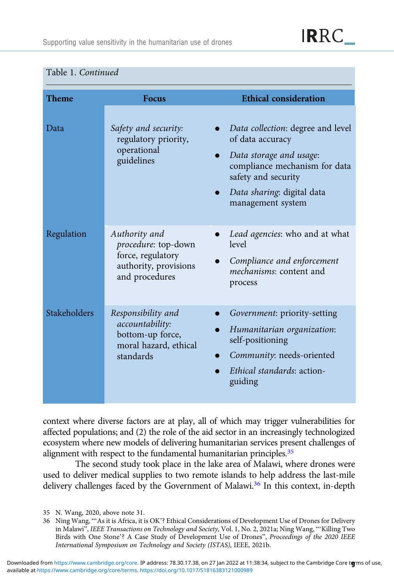#### Table 1. Continued

| <b>Theme</b>        | <b>Focus</b>                                                                                         | <b>Ethical consideration</b>                                                                                                                                                                             |
|---------------------|------------------------------------------------------------------------------------------------------|----------------------------------------------------------------------------------------------------------------------------------------------------------------------------------------------------------|
| Data                | Safety and security:<br>regulatory priority,<br>operational<br>guidelines                            | Data collection: degree and level<br>of data accuracy<br>Data storage and usage:<br>compliance mechanism for data<br>safety and security<br>Data sharing: digital data<br>$\bullet$<br>management system |
| Regulation          | Authority and<br>procedure: top-down<br>force, regulatory<br>authority, provisions<br>and procedures | Lead agencies: who and at what<br>$\bullet$<br>level<br>Compliance and enforcement<br>mechanisms: content and<br>process                                                                                 |
| <b>Stakeholders</b> | Responsibility and<br>accountability:<br>bottom-up force,<br>moral hazard, ethical<br>standards      | Government: priority-setting<br>Humanitarian organization:<br>self-positioning<br>Community: needs-oriented<br>Ethical standards: action-<br>guiding                                                     |

context where diverse factors are at play, all of which may trigger vulnerabilities for affected populations; and (2) the role of the aid sector in an increasingly technologized ecosystem where new models of delivering humanitarian services present challenges of alignment with respect to the fundamental humanitarian principles.<sup>35</sup>

The second study took place in the lake area of Malawi, where drones were used to deliver medical supplies to two remote islands to help address the last-mile delivery challenges faced by the Government of Malawi.<sup>36</sup> In this context, in-depth

<sup>35</sup> N. Wang, 2020, above note 31.

<sup>36</sup> Ning Wang, "'As it is Africa, it is OK'? Ethical Considerations of Development Use of Drones for Delivery in Malawi", IEEE Transactions on Technology and Society, Vol. 1, No. 2, 2021a; Ning Wang, "'Killing Two Birds with One Stone'? A Case Study of Development Use of Drones", Proceedings of the 2020 IEEE International Symposium on Technology and Society (ISTAS), IEEE, 2021b.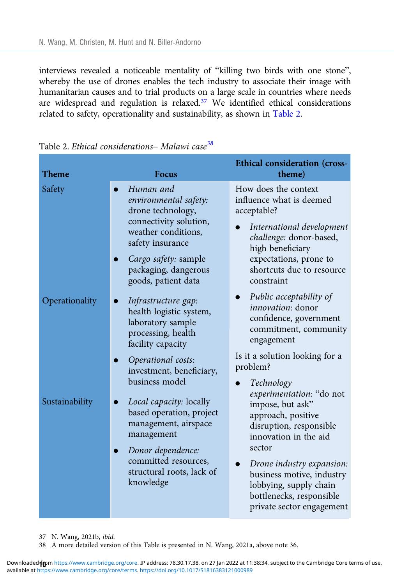interviews revealed a noticeable mentality of "killing two birds with one stone", whereby the use of drones enables the tech industry to associate their image with humanitarian causes and to trial products on a large scale in countries where needs are widespread and regulation is relaxed.<sup>37</sup> We identified ethical considerations related to safety, operationality and sustainability, as shown in Table 2.

| <b>Theme</b>   | <b>Focus</b>                                                                                                                                                                                                     | <b>Ethical consideration (cross-</b><br>theme)                                                                                                                                                                                                                                |
|----------------|------------------------------------------------------------------------------------------------------------------------------------------------------------------------------------------------------------------|-------------------------------------------------------------------------------------------------------------------------------------------------------------------------------------------------------------------------------------------------------------------------------|
| Safety         | Human and<br>$\bullet$<br>environmental safety:<br>drone technology,<br>connectivity solution,<br>weather conditions,<br>safety insurance<br>Cargo safety: sample<br>packaging, dangerous<br>goods, patient data | How does the context<br>influence what is deemed<br>acceptable?<br>International development<br>$\bullet$<br>challenge: donor-based,<br>high beneficiary<br>expectations, prone to<br>shortcuts due to resource<br>constraint                                                 |
| Operationality | Infrastructure gap:<br>$\bullet$<br>health logistic system,<br>laboratory sample<br>processing, health<br>facility capacity<br>Operational costs:<br>investment, beneficiary,<br>business model                  | Public acceptability of<br>$\bullet$<br><i>innovation</i> : donor<br>confidence, government<br>commitment, community<br>engagement<br>Is it a solution looking for a<br>problem?<br>Technology                                                                                |
| Sustainability | Local capacity: locally<br>based operation, project<br>management, airspace<br>management<br>Donor dependence:<br>committed resources,<br>structural roots, lack of<br>knowledge                                 | experimentation: "do not<br>impose, but ask"<br>approach, positive<br>disruption, responsible<br>innovation in the aid<br>sector<br>Drone industry expansion:<br>business motive, industry<br>lobbying, supply chain<br>bottlenecks, responsible<br>private sector engagement |

Table 2. Ethical considerations– Malawi case<sup>38</sup>

37 N. Wang, 2021b, ibid.

38 A more detailed version of this Table is presented in N. Wang, 2021a, above note 36.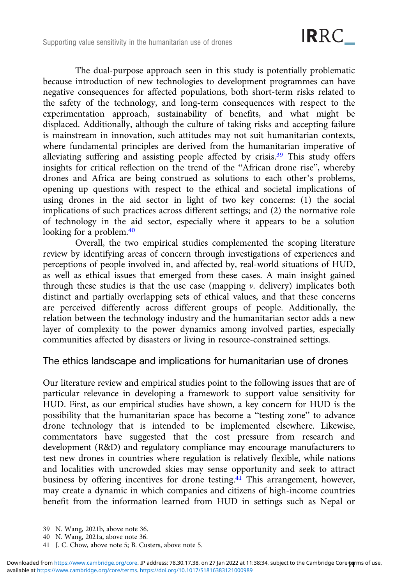The dual-purpose approach seen in this study is potentially problematic because introduction of new technologies to development programmes can have negative consequences for affected populations, both short-term risks related to the safety of the technology, and long-term consequences with respect to the experimentation approach, sustainability of benefits, and what might be displaced. Additionally, although the culture of taking risks and accepting failure is mainstream in innovation, such attitudes may not suit humanitarian contexts, where fundamental principles are derived from the humanitarian imperative of alleviating suffering and assisting people affected by crisis.39 This study offers insights for critical reflection on the trend of the "African drone rise", whereby drones and Africa are being construed as solutions to each other's problems, opening up questions with respect to the ethical and societal implications of using drones in the aid sector in light of two key concerns: (1) the social implications of such practices across different settings; and (2) the normative role of technology in the aid sector, especially where it appears to be a solution looking for a problem.<sup>40</sup>

Overall, the two empirical studies complemented the scoping literature review by identifying areas of concern through investigations of experiences and perceptions of people involved in, and affected by, real-world situations of HUD, as well as ethical issues that emerged from these cases. A main insight gained through these studies is that the use case (mapping  $\nu$ . delivery) implicates both distinct and partially overlapping sets of ethical values, and that these concerns are perceived differently across different groups of people. Additionally, the relation between the technology industry and the humanitarian sector adds a new layer of complexity to the power dynamics among involved parties, especially communities affected by disasters or living in resource-constrained settings.

## The ethics landscape and implications for humanitarian use of drones

Our literature review and empirical studies point to the following issues that are of particular relevance in developing a framework to support value sensitivity for HUD. First, as our empirical studies have shown, a key concern for HUD is the possibility that the humanitarian space has become a "testing zone" to advance drone technology that is intended to be implemented elsewhere. Likewise, commentators have suggested that the cost pressure from research and development (R&D) and regulatory compliance may encourage manufacturers to test new drones in countries where regulation is relatively flexible, while nations and localities with uncrowded skies may sense opportunity and seek to attract business by offering incentives for drone testing.<sup>41</sup> This arrangement, however, may create a dynamic in which companies and citizens of high-income countries benefit from the information learned from HUD in settings such as Nepal or

<sup>39</sup> N. Wang, 2021b, above note 36.

<sup>40</sup> N. Wang, 2021a, above note 36.

<sup>41</sup> J. C. Chow, above note 5; B. Custers, above note 5.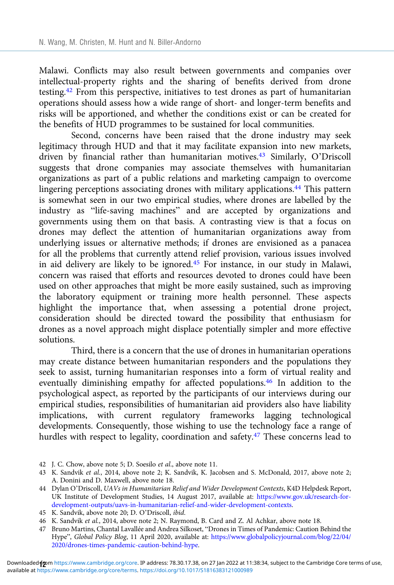Malawi. Conflicts may also result between governments and companies over intellectual-property rights and the sharing of benefits derived from drone testing.42 From this perspective, initiatives to test drones as part of humanitarian operations should assess how a wide range of short- and longer-term benefits and risks will be apportioned, and whether the conditions exist or can be created for the benefits of HUD programmes to be sustained for local communities.

Second, concerns have been raised that the drone industry may seek legitimacy through HUD and that it may facilitate expansion into new markets, driven by financial rather than humanitarian motives.43 Similarly, O'Driscoll suggests that drone companies may associate themselves with humanitarian organizations as part of a public relations and marketing campaign to overcome lingering perceptions associating drones with military applications.<sup>44</sup> This pattern is somewhat seen in our two empirical studies, where drones are labelled by the industry as "life-saving machines" and are accepted by organizations and governments using them on that basis. A contrasting view is that a focus on drones may deflect the attention of humanitarian organizations away from underlying issues or alternative methods; if drones are envisioned as a panacea for all the problems that currently attend relief provision, various issues involved in aid delivery are likely to be ignored.45 For instance, in our study in Malawi, concern was raised that efforts and resources devoted to drones could have been used on other approaches that might be more easily sustained, such as improving the laboratory equipment or training more health personnel. These aspects highlight the importance that, when assessing a potential drone project, consideration should be directed toward the possibility that enthusiasm for drones as a novel approach might displace potentially simpler and more effective solutions.

Third, there is a concern that the use of drones in humanitarian operations may create distance between humanitarian responders and the populations they seek to assist, turning humanitarian responses into a form of virtual reality and eventually diminishing empathy for affected populations.46 In addition to the psychological aspect, as reported by the participants of our interviews during our empirical studies, responsibilities of humanitarian aid providers also have liability implications, with current regulatory frameworks lagging technological developments. Consequently, those wishing to use the technology face a range of hurdles with respect to legality, coordination and safety.<sup>47</sup> These concerns lead to

- 42 J. C. Chow, above note 5; D. Soesilo et al., above note 11.
- 43 K. Sandvik et al., 2014, above note 2; K. Sandvik, K. Jacobsen and S. McDonald, 2017, above note 2; A. Donini and D. Maxwell, above note 18.
- 44 Dylan O'Driscoll, UAVs in Humanitarian Relief and Wider Development Contexts, K4D Helpdesk Report, UK Institute of Development Studies, 14 August 2017, available at: [https://www.gov.uk/research-for](https://www.gov.uk/research-for-development-outputs/uavs-in-humanitarian-relief-and-wider-development-contexts)[development-outputs/uavs-in-humanitarian-relief-and-wider-development-contexts](https://www.gov.uk/research-for-development-outputs/uavs-in-humanitarian-relief-and-wider-development-contexts).
- 45 K. Sandvik, above note 20; D. O'Driscoll, ibid.

47 Bruno Martins, Chantal Lavallée and Andrea Silkoset, "Drones in Times of Pandemic: Caution Behind the Hype", Global Policy Blog, 11 April 2020, available at: [https://www.globalpolicyjournal.com/blog/22/04/](https://www.globalpolicyjournal.com/blog/22/04/2020/drones-times-pandemic-caution-behind-hype) [2020/drones-times-pandemic-caution-behind-hype.](https://www.globalpolicyjournal.com/blog/22/04/2020/drones-times-pandemic-caution-behind-hype)

<sup>46</sup> K. Sandvik et al., 2014, above note 2; N. Raymond, B. Card and Z. Al Achkar, above note 18.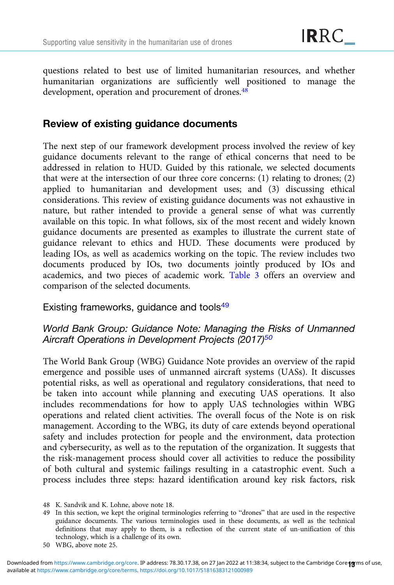questions related to best use of limited humanitarian resources, and whether humanitarian organizations are sufficiently well positioned to manage the development, operation and procurement of drones.<sup>48</sup>

## Review of existing guidance documents

The next step of our framework development process involved the review of key guidance documents relevant to the range of ethical concerns that need to be addressed in relation to HUD. Guided by this rationale, we selected documents that were at the intersection of our three core concerns: (1) relating to drones; (2) applied to humanitarian and development uses; and (3) discussing ethical considerations. This review of existing guidance documents was not exhaustive in nature, but rather intended to provide a general sense of what was currently available on this topic. In what follows, six of the most recent and widely known guidance documents are presented as examples to illustrate the current state of guidance relevant to ethics and HUD. These documents were produced by leading IOs, as well as academics working on the topic. The review includes two documents produced by IOs, two documents jointly produced by IOs and academics, and two pieces of academic work. [Table 3](#page-13-0) offers an overview and comparison of the selected documents.

Existing frameworks, guidance and tools<sup>49</sup>

## World Bank Group: Guidance Note: Managing the Risks of Unmanned Aircraft Operations in Development Projects (2017)<sup>50</sup>

The World Bank Group (WBG) Guidance Note provides an overview of the rapid emergence and possible uses of unmanned aircraft systems (UASs). It discusses potential risks, as well as operational and regulatory considerations, that need to be taken into account while planning and executing UAS operations. It also includes recommendations for how to apply UAS technologies within WBG operations and related client activities. The overall focus of the Note is on risk management. According to the WBG, its duty of care extends beyond operational safety and includes protection for people and the environment, data protection and cybersecurity, as well as to the reputation of the organization. It suggests that the risk-management process should cover all activities to reduce the possibility of both cultural and systemic failings resulting in a catastrophic event. Such a process includes three steps: hazard identification around key risk factors, risk

<sup>48</sup> K. Sandvik and K. Lohne, above note 18.

<sup>49</sup> In this section, we kept the original terminologies referring to "drones" that are used in the respective guidance documents. The various terminologies used in these documents, as well as the technical definitions that may apply to them, is a reflection of the current state of un-unification of this technology, which is a challenge of its own.

<sup>50</sup> WBG, above note 25.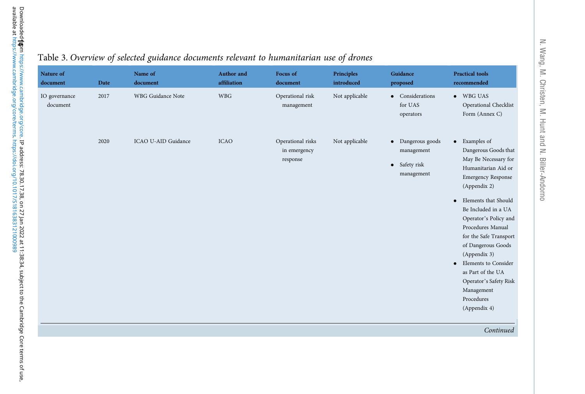| Nature of<br>document     | Date | Name of<br>document | <b>Author</b> and<br>affiliation | <b>Focus of</b><br>document                   | <b>Principles</b><br>introduced | Guidance<br>proposed                                           | <b>Practical tools</b><br>recommended                                                                                                                                                                                                                                                                  |
|---------------------------|------|---------------------|----------------------------------|-----------------------------------------------|---------------------------------|----------------------------------------------------------------|--------------------------------------------------------------------------------------------------------------------------------------------------------------------------------------------------------------------------------------------------------------------------------------------------------|
| IO governance<br>document | 2017 | WBG Guidance Note   | <b>WBG</b>                       | Operational risk<br>management                | Not applicable                  | • Considerations<br>for UAS<br>operators                       | • WBG UAS<br>Operational Checklist<br>Form (Annex C)                                                                                                                                                                                                                                                   |
|                           | 2020 | ICAO U-AID Guidance | <b>ICAO</b>                      | Operational risks<br>in emergency<br>response | Not applicable                  | • Dangerous goods<br>management<br>• Safety risk<br>management | Examples of<br>$\bullet$<br>Dangerous Goods that<br>May Be Necessary for<br>Humanitarian Aid or<br><b>Emergency Response</b><br>(Appendix 2)                                                                                                                                                           |
|                           |      |                     |                                  |                                               |                                 |                                                                | Elements that Should<br>$\bullet$<br>Be Included in a UA<br>Operator's Policy and<br>Procedures Manual<br>for the Safe Transport<br>of Dangerous Goods<br>(Appendix 3)<br>Elements to Consider<br>$\bullet$<br>as Part of the UA<br>Operator's Safety Risk<br>Management<br>Procedures<br>(Appendix 4) |
|                           |      |                     |                                  |                                               |                                 |                                                                | Continued                                                                                                                                                                                                                                                                                              |
|                           |      |                     |                                  |                                               |                                 |                                                                |                                                                                                                                                                                                                                                                                                        |

# <span id="page-13-0"></span>Table 3. Overview of selected guidance documents relevant to humanitarian use of drones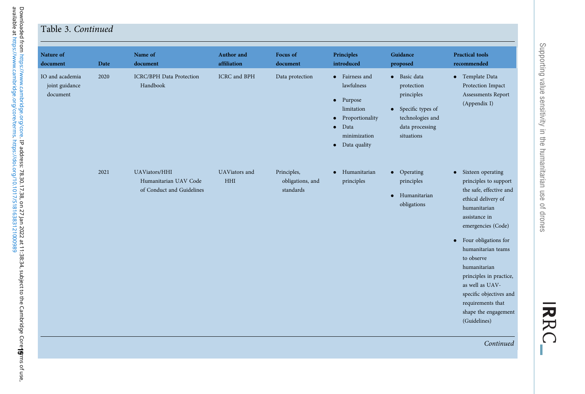#### Table 3. Continued

Downloaded from https://www.cambridge.org/core. IP address: 78.30.17.38, on 27 Jan 2022 at 11:38:34, subject to the Cambridge Core¶ffms of use.<br>available at https://www.cambridge.org/core/terms. https://doi.org/10.1017/518

Downloaded from<https://www.cambridge.org/core>. IP address: 78.30.17.38, on 27 Jan 2022 at 11:38:34, subject to the Cambridge Core terms of use,

available at [https://www.cambridge.org/core/terms.](https://www.cambridge.org/core/terms)<https://doi.org/10.1017/S1816383121000989>

| IO and academia<br><b>ICRC/BPH</b> Data Protection<br>ICRC and BPH<br>2020<br>· Basic data<br>• Template Data<br>Data protection<br>Fairness and<br>$\bullet$<br>Handbook<br>lawfulness<br>Protection Impact<br>joint guidance<br>protection<br>document<br>principles<br>Assessments Report<br>Purpose<br>$\bullet$<br>(Appendix I)<br>limitation<br>Specific types of<br>$\bullet$<br>technologies and<br>Proportionality<br>$\bullet$<br>data processing<br>Data<br>minimization<br>situations<br>Data quality<br>$\bullet$<br><b>UAViators/HHI</b><br>2021<br>UAViators and<br>Principles,<br>Humanitarian<br>• Sixteen operating<br>• Operating<br>$\bullet$<br>HHI<br>obligations, and<br>principles to support<br>Humanitarian UAV Code<br>principles<br>principles<br>the safe, effective and<br>standards<br>of Conduct and Guidelines<br>Humanitarian<br>$\bullet$<br>ethical delivery of<br>obligations<br>humanitarian<br>assistance in<br>emergencies (Code)<br>Four obligations for<br>$\bullet$<br>humanitarian teams<br>to observe<br>humanitarian<br>principles in practice,<br>as well as UAV-<br>specific objectives and<br>requirements that<br>shape the engagement<br>(Guidelines) | Nature of<br>document | Date | Name of<br>document | <b>Author</b> and<br>affiliation | <b>Focus of</b><br>document | Principles<br>introduced | Guidance<br>proposed | <b>Practical tools</b><br>recommended |
|----------------------------------------------------------------------------------------------------------------------------------------------------------------------------------------------------------------------------------------------------------------------------------------------------------------------------------------------------------------------------------------------------------------------------------------------------------------------------------------------------------------------------------------------------------------------------------------------------------------------------------------------------------------------------------------------------------------------------------------------------------------------------------------------------------------------------------------------------------------------------------------------------------------------------------------------------------------------------------------------------------------------------------------------------------------------------------------------------------------------------------------------------------------------------------------------------------|-----------------------|------|---------------------|----------------------------------|-----------------------------|--------------------------|----------------------|---------------------------------------|
|                                                                                                                                                                                                                                                                                                                                                                                                                                                                                                                                                                                                                                                                                                                                                                                                                                                                                                                                                                                                                                                                                                                                                                                                          |                       |      |                     |                                  |                             |                          |                      |                                       |
|                                                                                                                                                                                                                                                                                                                                                                                                                                                                                                                                                                                                                                                                                                                                                                                                                                                                                                                                                                                                                                                                                                                                                                                                          |                       |      |                     |                                  |                             |                          |                      |                                       |

IRRC\_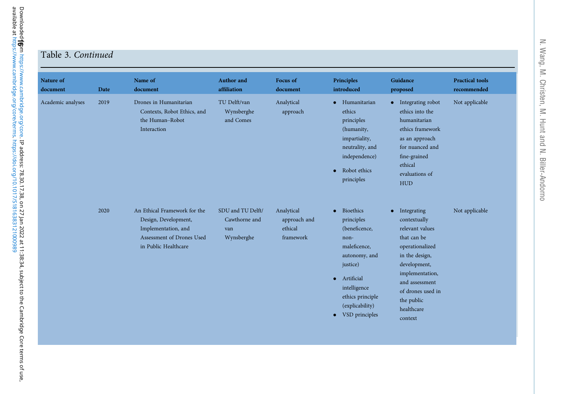#### Table 3. Continued

| Nature of<br>document | Date | Name of<br>document                                                                                                              | <b>Author</b> and<br>affiliation                        | <b>Focus of</b><br>document                        | <b>Principles</b><br>introduced                                                                                                                                                                                             | Guidance<br>proposed                                                                                                                                                                                                             | <b>Practical tools</b><br>recommended |
|-----------------------|------|----------------------------------------------------------------------------------------------------------------------------------|---------------------------------------------------------|----------------------------------------------------|-----------------------------------------------------------------------------------------------------------------------------------------------------------------------------------------------------------------------------|----------------------------------------------------------------------------------------------------------------------------------------------------------------------------------------------------------------------------------|---------------------------------------|
| Academic analyses     | 2019 | Drones in Humanitarian<br>Contexts, Robot Ethics, and<br>the Human-Robot<br>Interaction                                          | TU Delft/van<br>Wynsberghe<br>and Comes                 | Analytical<br>approach                             | Humanitarian<br>$\bullet$<br>ethics<br>principles<br>(humanity,<br>impartiality,<br>neutrality, and<br>independence)<br>Robot ethics<br>$\bullet$<br>principles                                                             | Integrating robot<br>$\bullet$<br>ethics into the<br>humanitarian<br>ethics framework<br>as an approach<br>for nuanced and<br>fine-grained<br>ethical<br>evaluations of<br><b>HUD</b>                                            | Not applicable                        |
|                       | 2020 | An Ethical Framework for the<br>Design, Development,<br>Implementation, and<br>Assessment of Drones Used<br>in Public Healthcare | SDU and TU Delft/<br>Cawthorne and<br>van<br>Wynsberghe | Analytical<br>approach and<br>ethical<br>framework | Bioethics<br>$\bullet$<br>principles<br>(beneficence,<br>non-<br>maleficence,<br>autonomy, and<br>justice)<br>Artificial<br>$\bullet$<br>intelligence<br>ethics principle<br>(explicability)<br>VSD principles<br>$\bullet$ | Integrating<br>$\bullet$<br>contextually<br>relevant values<br>that can be<br>operationalized<br>in the design,<br>development,<br>implementation,<br>and assessment<br>of drones used in<br>the public<br>healthcare<br>context | Not applicable                        |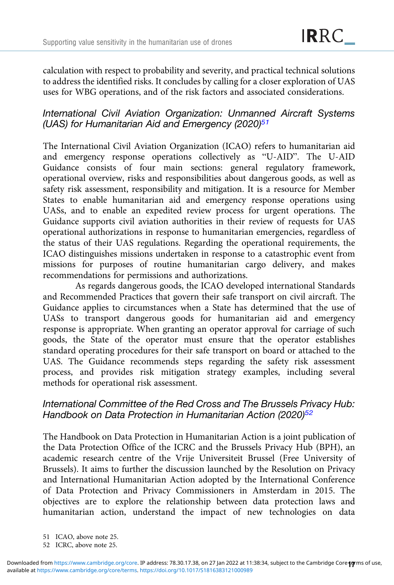calculation with respect to probability and severity, and practical technical solutions to address the identified risks. It concludes by calling for a closer exploration of UAS uses for WBG operations, and of the risk factors and associated considerations.

## International Civil Aviation Organization: Unmanned Aircraft Systems (UAS) for Humanitarian Aid and Emergency (2020) $51$

The International Civil Aviation Organization (ICAO) refers to humanitarian aid and emergency response operations collectively as "U-AID". The U-AID Guidance consists of four main sections: general regulatory framework, operational overview, risks and responsibilities about dangerous goods, as well as safety risk assessment, responsibility and mitigation. It is a resource for Member States to enable humanitarian aid and emergency response operations using UASs, and to enable an expedited review process for urgent operations. The Guidance supports civil aviation authorities in their review of requests for UAS operational authorizations in response to humanitarian emergencies, regardless of the status of their UAS regulations. Regarding the operational requirements, the ICAO distinguishes missions undertaken in response to a catastrophic event from missions for purposes of routine humanitarian cargo delivery, and makes recommendations for permissions and authorizations.

As regards dangerous goods, the ICAO developed international Standards and Recommended Practices that govern their safe transport on civil aircraft. The Guidance applies to circumstances when a State has determined that the use of UASs to transport dangerous goods for humanitarian aid and emergency response is appropriate. When granting an operator approval for carriage of such goods, the State of the operator must ensure that the operator establishes standard operating procedures for their safe transport on board or attached to the UAS. The Guidance recommends steps regarding the safety risk assessment process, and provides risk mitigation strategy examples, including several methods for operational risk assessment.

## International Committee of the Red Cross and The Brussels Privacy Hub: Handbook on Data Protection in Humanitarian Action (2020)<sup>52</sup>

The Handbook on Data Protection in Humanitarian Action is a joint publication of the Data Protection Office of the ICRC and the Brussels Privacy Hub (BPH), an academic research centre of the Vrije Universiteit Brussel (Free University of Brussels). It aims to further the discussion launched by the Resolution on Privacy and International Humanitarian Action adopted by the International Conference of Data Protection and Privacy Commissioners in Amsterdam in 2015. The objectives are to explore the relationship between data protection laws and humanitarian action, understand the impact of new technologies on data

<sup>51</sup> ICAO, above note 25.

<sup>52</sup> ICRC, above note 25.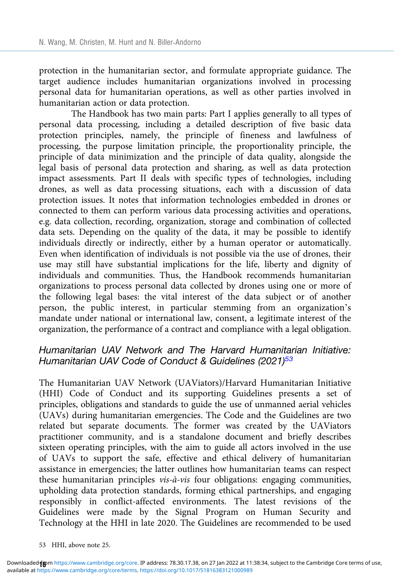protection in the humanitarian sector, and formulate appropriate guidance. The target audience includes humanitarian organizations involved in processing personal data for humanitarian operations, as well as other parties involved in humanitarian action or data protection.

The Handbook has two main parts: Part I applies generally to all types of personal data processing, including a detailed description of five basic data protection principles, namely, the principle of fineness and lawfulness of processing, the purpose limitation principle, the proportionality principle, the principle of data minimization and the principle of data quality, alongside the legal basis of personal data protection and sharing, as well as data protection impact assessments. Part II deals with specific types of technologies, including drones, as well as data processing situations, each with a discussion of data protection issues. It notes that information technologies embedded in drones or connected to them can perform various data processing activities and operations, e.g. data collection, recording, organization, storage and combination of collected data sets. Depending on the quality of the data, it may be possible to identify individuals directly or indirectly, either by a human operator or automatically. Even when identification of individuals is not possible via the use of drones, their use may still have substantial implications for the life, liberty and dignity of individuals and communities. Thus, the Handbook recommends humanitarian organizations to process personal data collected by drones using one or more of the following legal bases: the vital interest of the data subject or of another person, the public interest, in particular stemming from an organization's mandate under national or international law, consent, a legitimate interest of the organization, the performance of a contract and compliance with a legal obligation.

## Humanitarian UAV Network and The Harvard Humanitarian Initiative: Humanitarian UAV Code of Conduct & Guidelines (2021)<sup>53</sup>

The Humanitarian UAV Network (UAViators)/Harvard Humanitarian Initiative (HHI) Code of Conduct and its supporting Guidelines presents a set of principles, obligations and standards to guide the use of unmanned aerial vehicles (UAVs) during humanitarian emergencies. The Code and the Guidelines are two related but separate documents. The former was created by the UAViators practitioner community, and is a standalone document and briefly describes sixteen operating principles, with the aim to guide all actors involved in the use of UAVs to support the safe, effective and ethical delivery of humanitarian assistance in emergencies; the latter outlines how humanitarian teams can respect these humanitarian principles vis-à-vis four obligations: engaging communities, upholding data protection standards, forming ethical partnerships, and engaging responsibly in conflict-affected environments. The latest revisions of the Guidelines were made by the Signal Program on Human Security and Technology at the HHI in late 2020. The Guidelines are recommended to be used

<sup>53</sup> HHI, above note 25.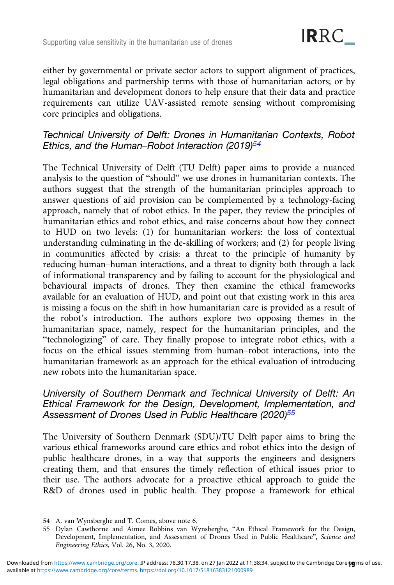either by governmental or private sector actors to support alignment of practices, legal obligations and partnership terms with those of humanitarian actors; or by humanitarian and development donors to help ensure that their data and practice requirements can utilize UAV-assisted remote sensing without compromising core principles and obligations.

## Technical University of Delft: Drones in Humanitarian Contexts, Robot Ethics, and the Human–Robot Interaction (2019)<sup>54</sup>

The Technical University of Delft (TU Delft) paper aims to provide a nuanced analysis to the question of "should" we use drones in humanitarian contexts. The authors suggest that the strength of the humanitarian principles approach to answer questions of aid provision can be complemented by a technology-facing approach, namely that of robot ethics. In the paper, they review the principles of humanitarian ethics and robot ethics, and raise concerns about how they connect to HUD on two levels: (1) for humanitarian workers: the loss of contextual understanding culminating in the de-skilling of workers; and (2) for people living in communities affected by crisis: a threat to the principle of humanity by reducing human–human interactions, and a threat to dignity both through a lack of informational transparency and by failing to account for the physiological and behavioural impacts of drones. They then examine the ethical frameworks available for an evaluation of HUD, and point out that existing work in this area is missing a focus on the shift in how humanitarian care is provided as a result of the robot's introduction. The authors explore two opposing themes in the humanitarian space, namely, respect for the humanitarian principles, and the "technologizing" of care. They finally propose to integrate robot ethics, with a focus on the ethical issues stemming from human–robot interactions, into the humanitarian framework as an approach for the ethical evaluation of introducing new robots into the humanitarian space.

## University of Southern Denmark and Technical University of Delft: An Ethical Framework for the Design, Development, Implementation, and Assessment of Drones Used in Public Healthcare (2020)<sup>55</sup>

The University of Southern Denmark (SDU)/TU Delft paper aims to bring the various ethical frameworks around care ethics and robot ethics into the design of public healthcare drones, in a way that supports the engineers and designers creating them, and that ensures the timely reflection of ethical issues prior to their use. The authors advocate for a proactive ethical approach to guide the R&D of drones used in public health. They propose a framework for ethical

<sup>54</sup> A. van Wynsberghe and T. Comes, above note 6.

<sup>55</sup> Dylan Cawthorne and Aimee Robbins van Wynsberghe, "An Ethical Framework for the Design, Development, Implementation, and Assessment of Drones Used in Public Healthcare", Science and Engineering Ethics, Vol. 26, No. 3, 2020.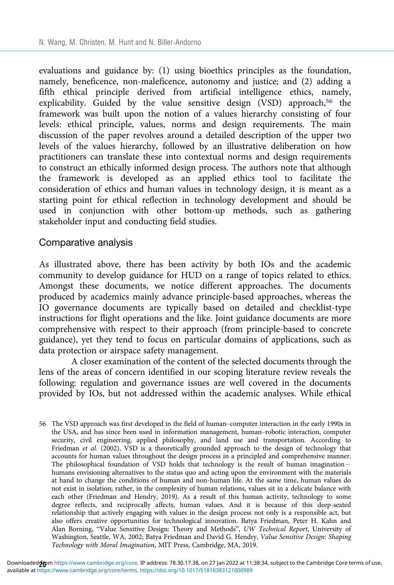evaluations and guidance by: (1) using bioethics principles as the foundation, namely, beneficence, non-maleficence, autonomy and justice; and (2) adding a fifth ethical principle derived from artificial intelligence ethics, namely, explicability. Guided by the value sensitive design (VSD) approach,<sup>56</sup> the framework was built upon the notion of a values hierarchy consisting of four levels: ethical principle, values, norms and design requirements. The main discussion of the paper revolves around a detailed description of the upper two levels of the values hierarchy, followed by an illustrative deliberation on how practitioners can translate these into contextual norms and design requirements to construct an ethically informed design process. The authors note that although the framework is developed as an applied ethics tool to facilitate the consideration of ethics and human values in technology design, it is meant as a starting point for ethical reflection in technology development and should be used in conjunction with other bottom-up methods, such as gathering stakeholder input and conducting field studies.

#### Comparative analysis

As illustrated above, there has been activity by both IOs and the academic community to develop guidance for HUD on a range of topics related to ethics. Amongst these documents, we notice different approaches. The documents produced by academics mainly advance principle-based approaches, whereas the IO governance documents are typically based on detailed and checklist-type instructions for flight operations and the like. Joint guidance documents are more comprehensive with respect to their approach (from principle-based to concrete guidance), yet they tend to focus on particular domains of applications, such as data protection or airspace safety management.

A closer examination of the content of the selected documents through the lens of the areas of concern identified in our scoping literature review reveals the following: regulation and governance issues are well covered in the documents provided by IOs, but not addressed within the academic analyses. While ethical

56 The VSD approach was first developed in the field of human–computer interaction in the early 1990s in the USA, and has since been used in information management, human–robotic interaction, computer security, civil engineering, applied philosophy, and land use and transportation. According to Friedman et al. (2002), VSD is a theoretically grounded approach to the design of technology that accounts for human values throughout the design process in a principled and comprehensive manner. The philosophical foundation of VSD holds that technology is the result of human imagination – humans envisioning alternatives to the status quo and acting upon the environment with the materials at hand to change the conditions of human and non-human life. At the same time, human values do not exist in isolation; rather, in the complexity of human relations, values sit in a delicate balance with each other (Friedman and Hendry, 2019). As a result of this human activity, technology to some degree reflects, and reciprocally affects, human values. And it is because of this deep-seated relationship that actively engaging with values in the design process not only is a responsible act, but also offers creative opportunities for technological innovation. Batya Friedman, Peter H. Kahn and Alan Borning, "Value Sensitive Design: Theory and Methods", UW Technical Report, University of Washington, Seattle, WA, 2002; Batya Friedman and David G. Hendry, Value Sensitive Design: Shaping Technology with Moral Imagination, MIT Press, Cambridge, MA, 2019.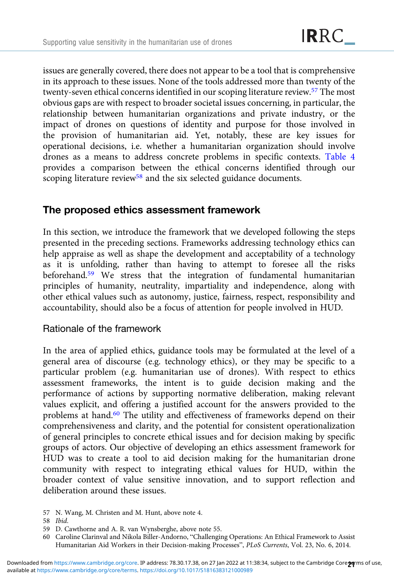issues are generally covered, there does not appear to be a tool that is comprehensive in its approach to these issues. None of the tools addressed more than twenty of the twenty-seven ethical concerns identified in our scoping literature review.57 The most obvious gaps are with respect to broader societal issues concerning, in particular, the relationship between humanitarian organizations and private industry, or the impact of drones on questions of identity and purpose for those involved in the provision of humanitarian aid. Yet, notably, these are key issues for operational decisions, i.e. whether a humanitarian organization should involve drones as a means to address concrete problems in specific contexts. [Table 4](#page-21-0) provides a comparison between the ethical concerns identified through our scoping literature review<sup>58</sup> and the six selected guidance documents.

## The proposed ethics assessment framework

In this section, we introduce the framework that we developed following the steps presented in the preceding sections. Frameworks addressing technology ethics can help appraise as well as shape the development and acceptability of a technology as it is unfolding, rather than having to attempt to foresee all the risks beforehand.<sup>59</sup> We stress that the integration of fundamental humanitarian principles of humanity, neutrality, impartiality and independence, along with other ethical values such as autonomy, justice, fairness, respect, responsibility and accountability, should also be a focus of attention for people involved in HUD.

## Rationale of the framework

In the area of applied ethics, guidance tools may be formulated at the level of a general area of discourse (e.g. technology ethics), or they may be specific to a particular problem (e.g. humanitarian use of drones). With respect to ethics assessment frameworks, the intent is to guide decision making and the performance of actions by supporting normative deliberation, making relevant values explicit, and offering a justified account for the answers provided to the problems at hand.<sup>60</sup> The utility and effectiveness of frameworks depend on their comprehensiveness and clarity, and the potential for consistent operationalization of general principles to concrete ethical issues and for decision making by specific groups of actors. Our objective of developing an ethics assessment framework for HUD was to create a tool to aid decision making for the humanitarian drone community with respect to integrating ethical values for HUD, within the broader context of value sensitive innovation, and to support reflection and deliberation around these issues.

- 59 D. Cawthorne and A. R. van Wynsberghe, above note 55.
- 60 Caroline Clarinval and Nikola Biller-Andorno, "Challenging Operations: An Ethical Framework to Assist Humanitarian Aid Workers in their Decision-making Processes", PLoS Currents, Vol. 23, No. 6, 2014.

<sup>57</sup> N. Wang, M. Christen and M. Hunt, above note 4.

<sup>58</sup> Ibid.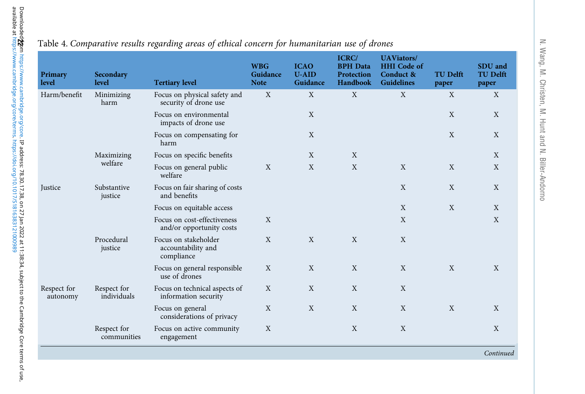| Primary<br>level        | Secondary<br>level         | <b>Tertiary level</b>                                    | <b>WBG</b><br>Guidance<br><b>Note</b> | <b>ICAO</b><br><b>U-AID</b><br>Guidance | ICRC/<br><b>BPH</b> Data<br>Protection<br>Handbook | <b>UAViators/</b><br><b>HHI</b> Code of<br>Conduct &<br><b>Guidelines</b> | <b>TU Delft</b><br>paper | SDU and<br><b>TU Delft</b><br>paper |
|-------------------------|----------------------------|----------------------------------------------------------|---------------------------------------|-----------------------------------------|----------------------------------------------------|---------------------------------------------------------------------------|--------------------------|-------------------------------------|
| Harm/benefit            | Minimizing<br>harm         | Focus on physical safety and<br>security of drone use    | X                                     | X                                       | X                                                  | X                                                                         | X                        | X                                   |
|                         |                            | Focus on environmental<br>impacts of drone use           |                                       | X                                       |                                                    |                                                                           | X                        | X                                   |
|                         |                            | Focus on compensating for<br>harm                        |                                       | X                                       |                                                    |                                                                           | X                        | X                                   |
|                         | Maximizing                 | Focus on specific benefits                               |                                       | X                                       | X                                                  |                                                                           |                          | X                                   |
|                         | welfare                    | Focus on general public<br>welfare                       | X                                     | X                                       | X                                                  | X                                                                         | X                        | X                                   |
| Justice                 | Substantive<br>justice     | Focus on fair sharing of costs<br>and benefits           |                                       |                                         |                                                    | X                                                                         | X                        | X                                   |
|                         |                            | Focus on equitable access                                |                                       |                                         |                                                    | X                                                                         | X                        | X                                   |
|                         |                            | Focus on cost-effectiveness<br>and/or opportunity costs  | X                                     |                                         |                                                    | X                                                                         |                          | X                                   |
|                         | Procedural<br>justice      | Focus on stakeholder<br>accountability and<br>compliance | X                                     | $\mathbf{X}$                            | $\mathbf{X}$                                       | X                                                                         |                          |                                     |
|                         |                            | Focus on general responsible<br>use of drones            | X                                     | X                                       | X                                                  | X                                                                         | X                        | X                                   |
| Respect for<br>autonomy | Respect for<br>individuals | Focus on technical aspects of<br>information security    | X                                     | X                                       | X                                                  | X                                                                         |                          |                                     |
|                         |                            | Focus on general<br>considerations of privacy            | X                                     | X                                       | X                                                  | X                                                                         | X                        | X                                   |
|                         | Respect for<br>communities | Focus on active community<br>engagement                  | X                                     |                                         | X                                                  | X                                                                         |                          | X                                   |

N. Wang, M. Christen, M. Hunt and N. Biller

‐Andorno

## <span id="page-21-0"></span>Table 4. Comparative results regarding areas of ethical concern for humanitarian use of drones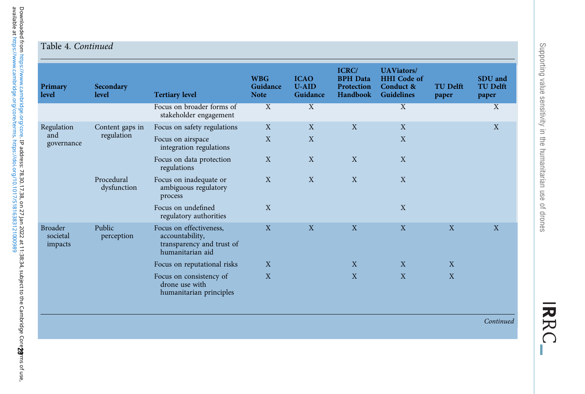#### Table 4. Continued

| Primary<br>level               | Secondary<br>level        | <b>Tertiary level</b>                                                                       | <b>WBG</b><br>Guidance<br><b>Note</b> | <b>ICAO</b><br><b>U-AID</b><br>Guidance | ICRC/<br><b>BPH</b> Data<br>Protection<br>Handbook | <b>UAViators/</b><br><b>HHI</b> Code of<br>Conduct &<br><b>Guidelines</b> | <b>TU Delft</b><br>paper | SDU and<br><b>TU Delft</b><br>paper |
|--------------------------------|---------------------------|---------------------------------------------------------------------------------------------|---------------------------------------|-----------------------------------------|----------------------------------------------------|---------------------------------------------------------------------------|--------------------------|-------------------------------------|
|                                |                           | Focus on broader forms of<br>stakeholder engagement                                         | X                                     | $\mathbf X$                             |                                                    | X                                                                         |                          | X                                   |
| Regulation                     | Content gaps in           | Focus on safety regulations                                                                 | X                                     | X                                       | X                                                  | X                                                                         |                          | X                                   |
| and<br>governance              | regulation                | Focus on airspace<br>integration regulations                                                | X                                     | X                                       |                                                    | X                                                                         |                          |                                     |
|                                |                           | Focus on data protection<br>regulations                                                     | X                                     | X                                       | X                                                  | X                                                                         |                          |                                     |
|                                | Procedural<br>dysfunction | Focus on inadequate or<br>ambiguous regulatory<br>process                                   | X                                     | X                                       | X                                                  | X                                                                         |                          |                                     |
|                                |                           | Focus on undefined<br>regulatory authorities                                                | X                                     |                                         |                                                    | X                                                                         |                          |                                     |
| Broader<br>societal<br>impacts | Public<br>perception      | Focus on effectiveness,<br>accountability,<br>transparency and trust of<br>humanitarian aid | X                                     | X                                       | X                                                  | X                                                                         | X                        | X                                   |
|                                |                           | Focus on reputational risks                                                                 | X                                     |                                         | X                                                  | X                                                                         | X                        |                                     |
|                                |                           | Focus on consistency of<br>drone use with<br>humanitarian principles                        | X                                     |                                         | X                                                  | X                                                                         | X                        |                                     |
|                                |                           |                                                                                             |                                       |                                         |                                                    |                                                                           |                          |                                     |

IRRC\_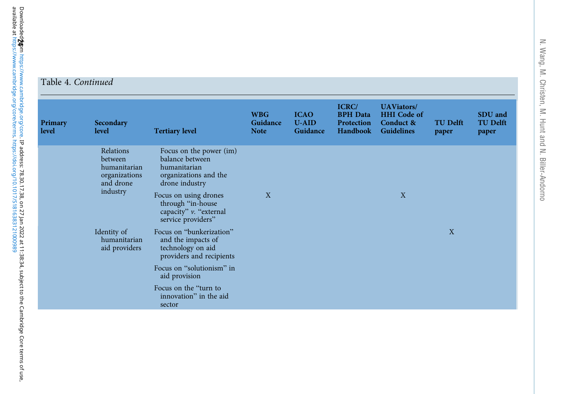| Primary<br>level | Secondary<br>level                                                             | <b>Tertiary level</b>                                                                                                                                                                               | <b>WBG</b><br>Guidance<br><b>Note</b> | <b>ICAO</b><br>$U-AID$<br>Guidance | ICRC/<br><b>BPH</b> Data<br>Protection<br>Handbook | <b>UAViators/</b><br><b>HHI</b> Code of<br>Conduct &<br><b>Guidelines</b> | <b>TU Delft</b><br>paper | SDU and<br><b>TU Delft</b><br>paper |
|------------------|--------------------------------------------------------------------------------|-----------------------------------------------------------------------------------------------------------------------------------------------------------------------------------------------------|---------------------------------------|------------------------------------|----------------------------------------------------|---------------------------------------------------------------------------|--------------------------|-------------------------------------|
|                  | Relations<br>between<br>humanitarian<br>organizations<br>and drone<br>industry | Focus on the power (im)<br>balance between<br>humanitarian<br>organizations and the<br>drone industry<br>Focus on using drones<br>through "in-house<br>capacity" v. "external<br>service providers" | X                                     |                                    |                                                    | X                                                                         |                          |                                     |
|                  | Identity of<br>humanitarian<br>aid providers                                   | Focus on "bunkerization"<br>and the impacts of<br>technology on aid<br>providers and recipients<br>Focus on "solutionism" in                                                                        |                                       |                                    |                                                    |                                                                           | X                        |                                     |
|                  |                                                                                | aid provision<br>Focus on the "turn to<br>innovation" in the aid<br>sector                                                                                                                          |                                       |                                    |                                                    |                                                                           |                          |                                     |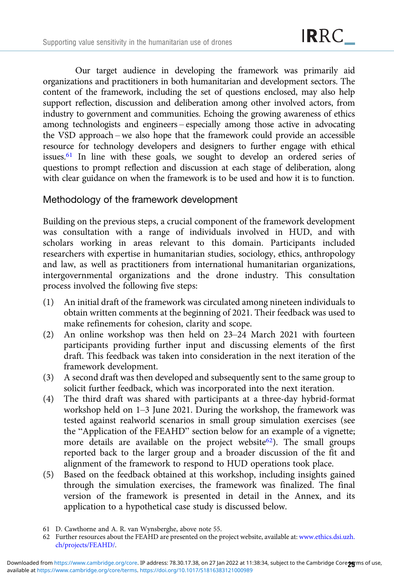Our target audience in developing the framework was primarily aid organizations and practitioners in both humanitarian and development sectors. The content of the framework, including the set of questions enclosed, may also help support reflection, discussion and deliberation among other involved actors, from industry to government and communities. Echoing the growing awareness of ethics among technologists and engineers – especially among those active in advocating the VSD approach – we also hope that the framework could provide an accessible resource for technology developers and designers to further engage with ethical issues.61 In line with these goals, we sought to develop an ordered series of questions to prompt reflection and discussion at each stage of deliberation, along with clear guidance on when the framework is to be used and how it is to function.

## Methodology of the framework development

Building on the previous steps, a crucial component of the framework development was consultation with a range of individuals involved in HUD, and with scholars working in areas relevant to this domain. Participants included researchers with expertise in humanitarian studies, sociology, ethics, anthropology and law, as well as practitioners from international humanitarian organizations, intergovernmental organizations and the drone industry. This consultation process involved the following five steps:

- (1) An initial draft of the framework was circulated among nineteen individuals to obtain written comments at the beginning of 2021. Their feedback was used to make refinements for cohesion, clarity and scope.
- (2) An online workshop was then held on 23–24 March 2021 with fourteen participants providing further input and discussing elements of the first draft. This feedback was taken into consideration in the next iteration of the framework development.
- (3) A second draft was then developed and subsequently sent to the same group to solicit further feedback, which was incorporated into the next iteration.
- (4) The third draft was shared with participants at a three-day hybrid-format workshop held on 1–3 June 2021. During the workshop, the framework was tested against realworld scenarios in small group simulation exercises (see the "Application of the FEAHD" section below for an example of a vignette; more details are available on the project website<sup>62</sup>). The small groups reported back to the larger group and a broader discussion of the fit and alignment of the framework to respond to HUD operations took place.
- (5) Based on the feedback obtained at this workshop, including insights gained through the simulation exercises, the framework was finalized. The final version of the framework is presented in detail in the Annex, and its application to a hypothetical case study is discussed below.

<sup>61</sup> D. Cawthorne and A. R. van Wynsberghe, above note 55.

<sup>62</sup> Further resources about the FEAHD are presented on the project website, available at: [www.ethics.dsi.uzh.](https://www.ethics.dsi.uzh.ch/projects/FEAHD/) [ch/projects/FEAHD/](https://www.ethics.dsi.uzh.ch/projects/FEAHD/).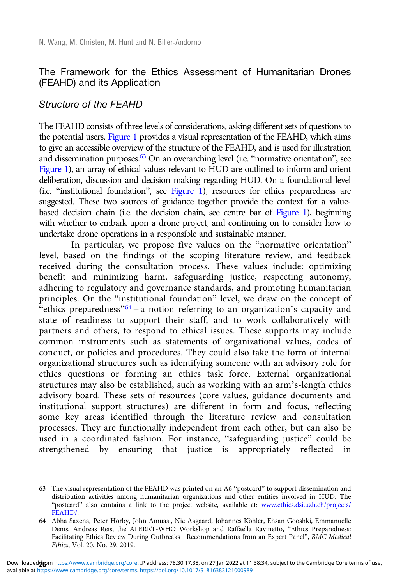## The Framework for the Ethics Assessment of Humanitarian Drones (FEAHD) and its Application

#### Structure of the FEAHD

The FEAHD consists of three levels of considerations, asking different sets of questions to the potential users. [Figure 1](#page-26-0) provides a visual representation of the FEAHD, which aims to give an accessible overview of the structure of the FEAHD, and is used for illustration and dissemination purposes.<sup>63</sup> On an overarching level (i.e. "normative orientation", see [Figure 1](#page-26-0)), an array of ethical values relevant to HUD are outlined to inform and orient deliberation, discussion and decision making regarding HUD. On a foundational level (i.e. "institutional foundation", see [Figure 1\)](#page-26-0), resources for ethics preparedness are suggested. These two sources of guidance together provide the context for a valuebased decision chain (i.e. the decision chain, see centre bar of [Figure 1](#page-26-0)), beginning with whether to embark upon a drone project, and continuing on to consider how to undertake drone operations in a responsible and sustainable manner.

In particular, we propose five values on the "normative orientation" level, based on the findings of the scoping literature review, and feedback received during the consultation process. These values include: optimizing benefit and minimizing harm, safeguarding justice, respecting autonomy, adhering to regulatory and governance standards, and promoting humanitarian principles. On the "institutional foundation" level, we draw on the concept of "ethics preparedness"<sup>64</sup> – a notion referring to an organization's capacity and state of readiness to support their staff, and to work collaboratively with partners and others, to respond to ethical issues. These supports may include common instruments such as statements of organizational values, codes of conduct, or policies and procedures. They could also take the form of internal organizational structures such as identifying someone with an advisory role for ethics questions or forming an ethics task force. External organizational structures may also be established, such as working with an arm's-length ethics advisory board. These sets of resources (core values, guidance documents and institutional support structures) are different in form and focus, reflecting some key areas identified through the literature review and consultation processes. They are functionally independent from each other, but can also be used in a coordinated fashion. For instance, "safeguarding justice" could be strengthened by ensuring that justice is appropriately reflected in

<sup>63</sup> The visual representation of the FEAHD was printed on an A6 "postcard" to support dissemination and distribution activities among humanitarian organizations and other entities involved in HUD. The "postcard" also contains a link to the project website, available at: [www.ethics.dsi.uzh.ch/projects/](https://www.ethics.dsi.uzh.ch/projects/FEAHD/) [FEAHD/](https://www.ethics.dsi.uzh.ch/projects/FEAHD/).

<sup>64</sup> Abha Saxena, Peter Horby, John Amuasi, Nic Aagaard, Johannes Köhler, Ehsan Gooshki, Emmanuelle Denis, Andreas Reis, the ALERRT-WHO Workshop and Raffaella Ravinetto, "Ethics Preparedness: Facilitating Ethics Review During Outbreaks – Recommendations from an Expert Panel", BMC Medical Ethics, Vol. 20, No. 29, 2019.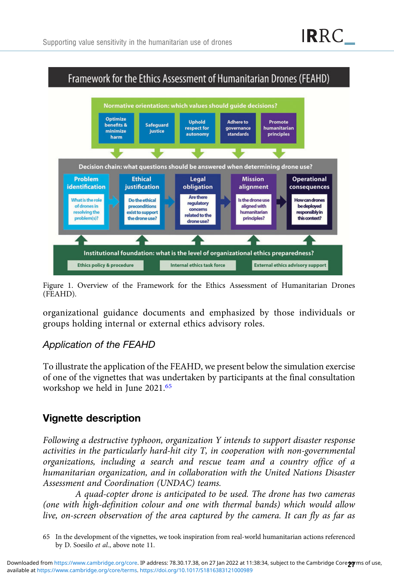<span id="page-26-0"></span>

Figure 1. Overview of the Framework for the Ethics Assessment of Humanitarian Drones (FEAHD).

organizational guidance documents and emphasized by those individuals or groups holding internal or external ethics advisory roles.

# Application of the FEAHD

To illustrate the application of the FEAHD, we present below the simulation exercise of one of the vignettes that was undertaken by participants at the final consultation workshop we held in June 2021.<sup>65</sup>

# Vignette description

Following a destructive typhoon, organization Y intends to support disaster response activities in the particularly hard-hit city T, in cooperation with non-governmental organizations, including a search and rescue team and a country office of a humanitarian organization, and in collaboration with the United Nations Disaster Assessment and Coordination (UNDAC) teams.

A quad-copter drone is anticipated to be used. The drone has two cameras (one with high-definition colour and one with thermal bands) which would allow live, on-screen observation of the area captured by the camera. It can fly as far as

<sup>65</sup> In the development of the vignettes, we took inspiration from real-world humanitarian actions referenced by D. Soesilo et al., above note 11.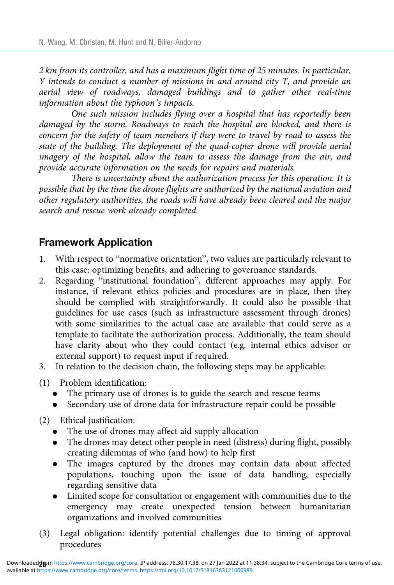2 km from its controller, and has a maximum flight time of 25 minutes. In particular, Y intends to conduct a number of missions in and around city T, and provide an aerial view of roadways, damaged buildings and to gather other real-time information about the typhoon's impacts.

One such mission includes flying over a hospital that has reportedly been damaged by the storm. Roadways to reach the hospital are blocked, and there is concern for the safety of team members if they were to travel by road to assess the state of the building. The deployment of the quad-copter drone will provide aerial imagery of the hospital, allow the team to assess the damage from the air, and provide accurate information on the needs for repairs and materials.

There is uncertainty about the authorization process for this operation. It is possible that by the time the drone flights are authorized by the national aviation and other regulatory authorities, the roads will have already been cleared and the major search and rescue work already completed.

## Framework Application

- 1. With respect to "normative orientation", two values are particularly relevant to this case: optimizing benefits, and adhering to governance standards.
- 2. Regarding "institutional foundation", different approaches may apply. For instance, if relevant ethics policies and procedures are in place, then they should be complied with straightforwardly. It could also be possible that guidelines for use cases (such as infrastructure assessment through drones) with some similarities to the actual case are available that could serve as a template to facilitate the authorization process. Additionally, the team should have clarity about who they could contact (e.g. internal ethics advisor or external support) to request input if required.
- 3. In relation to the decision chain, the following steps may be applicable:
- (1) Problem identification:
	- The primary use of drones is to guide the search and rescue teams
	- . Secondary use of drone data for infrastructure repair could be possible
- (2) Ethical justification:
	- . The use of drones may affect aid supply allocation
	- . The drones may detect other people in need (distress) during flight, possibly creating dilemmas of who (and how) to help first
	- . The images captured by the drones may contain data about affected populations, touching upon the issue of data handling, especially regarding sensitive data
	- . Limited scope for consultation or engagement with communities due to the emergency may create unexpected tension between humanitarian organizations and involved communities
- (3) Legal obligation: identify potential challenges due to timing of approval procedures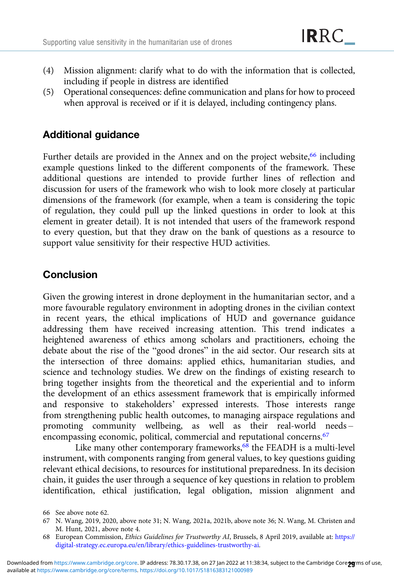- (4) Mission alignment: clarify what to do with the information that is collected, including if people in distress are identified
- (5) Operational consequences: define communication and plans for how to proceed when approval is received or if it is delayed, including contingency plans.

# Additional guidance

Further details are provided in the Annex and on the project website,<sup>66</sup> including example questions linked to the different components of the framework. These additional questions are intended to provide further lines of reflection and discussion for users of the framework who wish to look more closely at particular dimensions of the framework (for example, when a team is considering the topic of regulation, they could pull up the linked questions in order to look at this element in greater detail). It is not intended that users of the framework respond to every question, but that they draw on the bank of questions as a resource to support value sensitivity for their respective HUD activities.

# Conclusion

Given the growing interest in drone deployment in the humanitarian sector, and a more favourable regulatory environment in adopting drones in the civilian context in recent years, the ethical implications of HUD and governance guidance addressing them have received increasing attention. This trend indicates a heightened awareness of ethics among scholars and practitioners, echoing the debate about the rise of the "good drones" in the aid sector. Our research sits at the intersection of three domains: applied ethics, humanitarian studies, and science and technology studies. We drew on the findings of existing research to bring together insights from the theoretical and the experiential and to inform the development of an ethics assessment framework that is empirically informed and responsive to stakeholders' expressed interests. Those interests range from strengthening public health outcomes, to managing airspace regulations and promoting community wellbeing, as well as their real-world needs – encompassing economic, political, commercial and reputational concerns.<sup>67</sup>

Like many other contemporary frameworks, $68$  the FEADH is a multi-level instrument, with components ranging from general values, to key questions guiding relevant ethical decisions, to resources for institutional preparedness. In its decision chain, it guides the user through a sequence of key questions in relation to problem identification, ethical justification, legal obligation, mission alignment and

<sup>66</sup> See above note 62.

<sup>67</sup> N. Wang, 2019, 2020, above note 31; N. Wang, 2021a, 2021b, above note 36; N. Wang, M. Christen and M. Hunt, 2021, above note 4.

<sup>68</sup> European Commission, Ethics Guidelines for Trustworthy AI, Brussels, 8 April 2019, available at: [https://](https://digital-strategy.ec.europa.eu/en/library/ethics-guidelines-trustworthy-ai) [digital-strategy.ec.europa.eu/en/library/ethics-guidelines-trustworthy-ai.](https://digital-strategy.ec.europa.eu/en/library/ethics-guidelines-trustworthy-ai)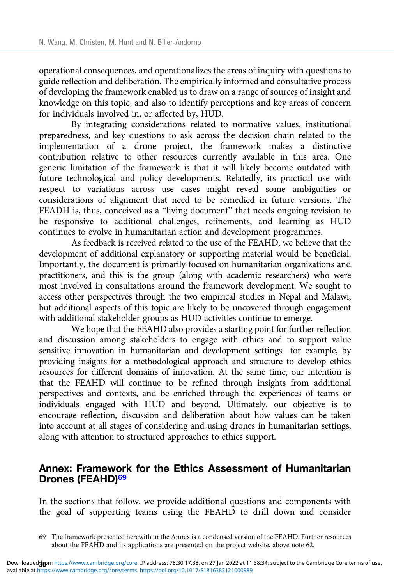<span id="page-29-0"></span>operational consequences, and operationalizes the areas of inquiry with questions to guide reflection and deliberation. The empirically informed and consultative process of developing the framework enabled us to draw on a range of sources of insight and knowledge on this topic, and also to identify perceptions and key areas of concern for individuals involved in, or affected by, HUD.

By integrating considerations related to normative values, institutional preparedness, and key questions to ask across the decision chain related to the implementation of a drone project, the framework makes a distinctive contribution relative to other resources currently available in this area. One generic limitation of the framework is that it will likely become outdated with future technological and policy developments. Relatedly, its practical use with respect to variations across use cases might reveal some ambiguities or considerations of alignment that need to be remedied in future versions. The FEADH is, thus, conceived as a "living document" that needs ongoing revision to be responsive to additional challenges, refinements, and learning as HUD continues to evolve in humanitarian action and development programmes.

As feedback is received related to the use of the FEAHD, we believe that the development of additional explanatory or supporting material would be beneficial. Importantly, the document is primarily focused on humanitarian organizations and practitioners, and this is the group (along with academic researchers) who were most involved in consultations around the framework development. We sought to access other perspectives through the two empirical studies in Nepal and Malawi, but additional aspects of this topic are likely to be uncovered through engagement with additional stakeholder groups as HUD activities continue to emerge.

We hope that the FEAHD also provides a starting point for further reflection and discussion among stakeholders to engage with ethics and to support value sensitive innovation in humanitarian and development settings – for example, by providing insights for a methodological approach and structure to develop ethics resources for different domains of innovation. At the same time, our intention is that the FEAHD will continue to be refined through insights from additional perspectives and contexts, and be enriched through the experiences of teams or individuals engaged with HUD and beyond. Ultimately, our objective is to encourage reflection, discussion and deliberation about how values can be taken into account at all stages of considering and using drones in humanitarian settings, along with attention to structured approaches to ethics support.

## Annex: Framework for the Ethics Assessment of Humanitarian Drones (FEAHD)<sup>69</sup>

In the sections that follow, we provide additional questions and components with the goal of supporting teams using the FEAHD to drill down and consider

<sup>69</sup> The framework presented herewith in the Annex is a condensed version of the FEAHD. Further resources about the FEAHD and its applications are presented on the project website, above note 62.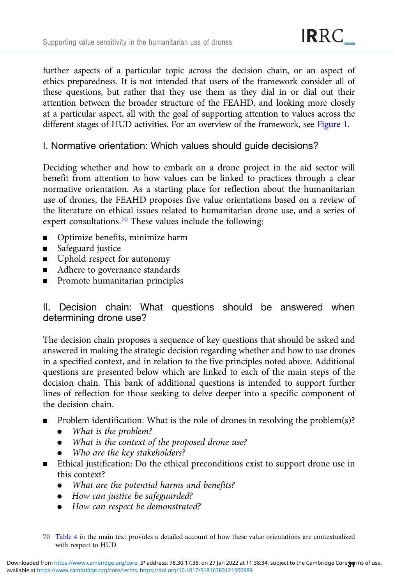further aspects of a particular topic across the decision chain, or an aspect of ethics preparedness. It is not intended that users of the framework consider all of these questions, but rather that they use them as they dial in or dial out their attention between the broader structure of the FEAHD, and looking more closely at a particular aspect, all with the goal of supporting attention to values across the different stages of HUD activities. For an overview of the framework, see [Figure 1.](#page-26-0)

## I. Normative orientation: Which values should guide decisions?

Deciding whether and how to embark on a drone project in the aid sector will benefit from attention to how values can be linked to practices through a clear normative orientation. As a starting place for reflection about the humanitarian use of drones, the FEAHD proposes five value orientations based on a review of the literature on ethical issues related to humanitarian drone use, and a series of expert consultations.[70](#page-29-0) These values include the following:

- **•** Optimize benefits, minimize harm
- Safeguard justice
- Uphold respect for autonomy
- Adhere to governance standards
- Promote humanitarian principles

# II. Decision chain: What questions should be answered when determining drone use?

The decision chain proposes a sequence of key questions that should be asked and answered in making the strategic decision regarding whether and how to use drones in a specified context, and in relation to the five principles noted above. Additional questions are presented below which are linked to each of the main steps of the decision chain. This bank of additional questions is intended to support further lines of reflection for those seeking to delve deeper into a specific component of the decision chain.

- Problem identification: What is the role of drones in resolving the problem(s)?
	- . What is the problem?
	- . What is the context of the proposed drone use?
	- Who are the key stakeholders?
- **Ethical justification:** Do the ethical preconditions exist to support drone use in this context?
	- . What are the potential harms and benefits?
	- . How can justice be safeguarded?
	- How can respect be demonstrated?
- 70 [Table 4](#page-21-0) in the main text provides a detailed account of how these value orientations are contextualized with respect to HUD.